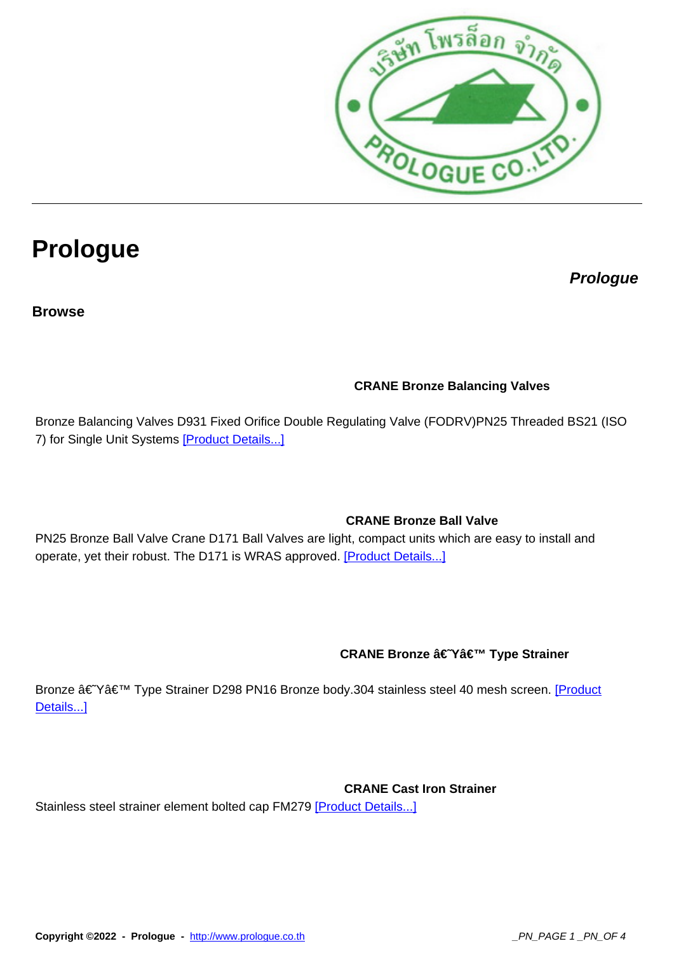

# **Prologue**

**Prologue**

**Browse** 

# **CRANE Bronze Balancing Valves**

Bronze Balancing Valves D931 Fixed Orifice Double Regulating Valve (FODRV)PN25 Threaded BS21 (ISO 7) for Single Unit Systems [Product Details...]

# **CRANE Bronze Ball Valve**

PN25 Bronze Ball Valve Crane D171 Ball Valves are light, compact units which are easy to install and operate, yet their robust. The D171 is WRAS approved. [Product Details...]

# **CRANE Bronze †Y' Type Strainer**

Bronze †Yâ€<sup>™</sup> Type Strainer D298 PN16 Bronze body.304 stainless steel 40 mesh screen. [Product Details...]

# **CRANE Cast Iron Strainer**

Stainless steel strainer element bolted cap FM279 [Product Details...]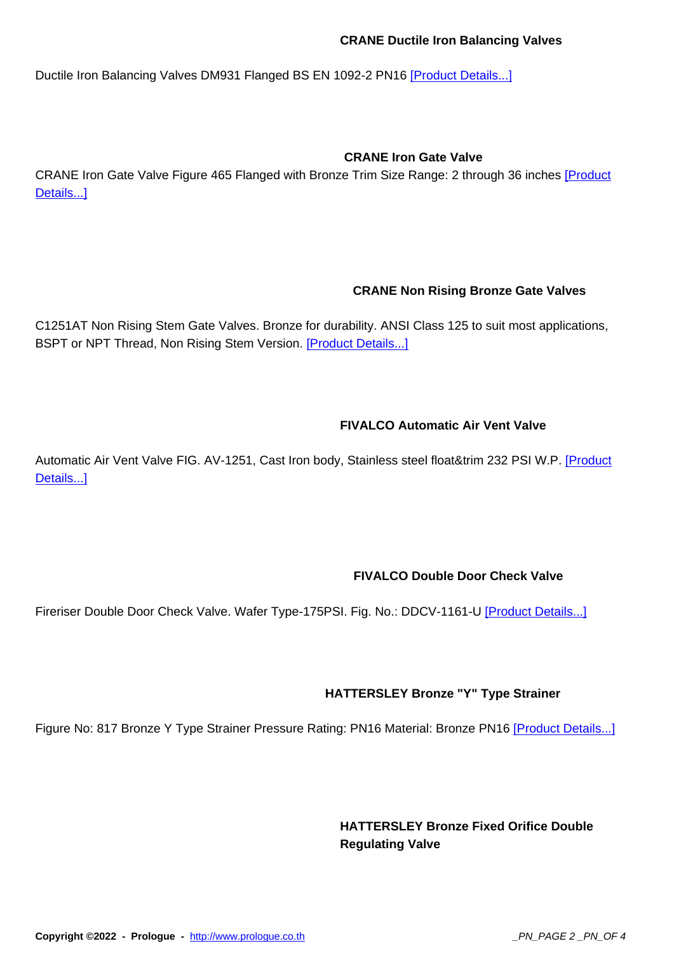Ductile Iron Balancing Valves DM931 Flanged BS EN 1092-2 PN16 [Product Details...]

#### **CRANE Iron Gate Valve**

CRANE Iron Gate Valve Figure 465 Flanged with Bronze Trim Size Range: 2 through 36 inches [Product Details...]

#### **CRANE Non Rising Bronze Gate Valves**

C1251AT Non Rising Stem Gate Valves. Bronze for durability. ANSI Class 125 to suit most applications, BSPT or NPT Thread, Non Rising Stem Version. [Product Details...]

#### **FIVALCO Automatic Air Vent Valve**

Automatic Air Vent Valve FIG. AV-1251, Cast Iron body, Stainless steel float&trim 232 PSI W.P. [Product Details...]

#### **FIVALCO Double Door Check Valve**

Fireriser Double Door Check Valve. Wafer Type-175PSI. Fig. No.: DDCV-1161-U [Product Details...]

#### **HATTERSLEY Bronze "Y" Type Strainer**

Figure No: 817 Bronze Y Type Strainer Pressure Rating: PN16 Material: Bronze PN16 [Product Details...]

**HATTERSLEY Bronze Fixed Orifice Double Regulating Valve**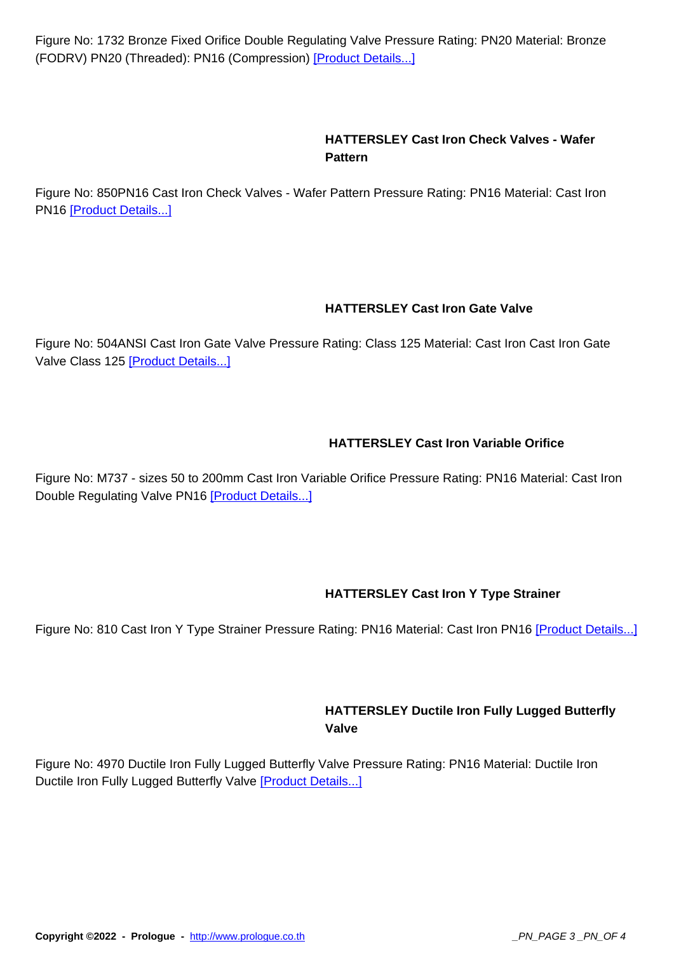### **HATTERSLEY Cast Iron Check Valves - Wafer Pattern**

Figure No: 850PN16 Cast Iron Check Valves - Wafer Pattern Pressure Rating: PN16 Material: Cast Iron PN16 [Product Details...]

#### **HATTERSLEY Cast Iron Gate Valve**

Figure No: 504ANSI Cast Iron Gate Valve Pressure Rating: Class 125 Material: Cast Iron Cast Iron Gate Valve Class 125 [Product Details...]

#### **HATTERSLEY Cast Iron Variable Orifice**

Figure No: M737 - sizes 50 to 200mm Cast Iron Variable Orifice Pressure Rating: PN16 Material: Cast Iron Double Regulating Valve PN16 [Product Details...]

# **HATTERSLEY Cast Iron Y Type Strainer**

Figure No: 810 Cast Iron Y Type Strainer Pressure Rating: PN16 Material: Cast Iron PN16 [Product Details...]

# **HATTERSLEY Ductile Iron Fully Lugged Butterfly Valve**

Figure No: 4970 Ductile Iron Fully Lugged Butterfly Valve Pressure Rating: PN16 Material: Ductile Iron Ductile Iron Fully Lugged Butterfly Valve [Product Details...]